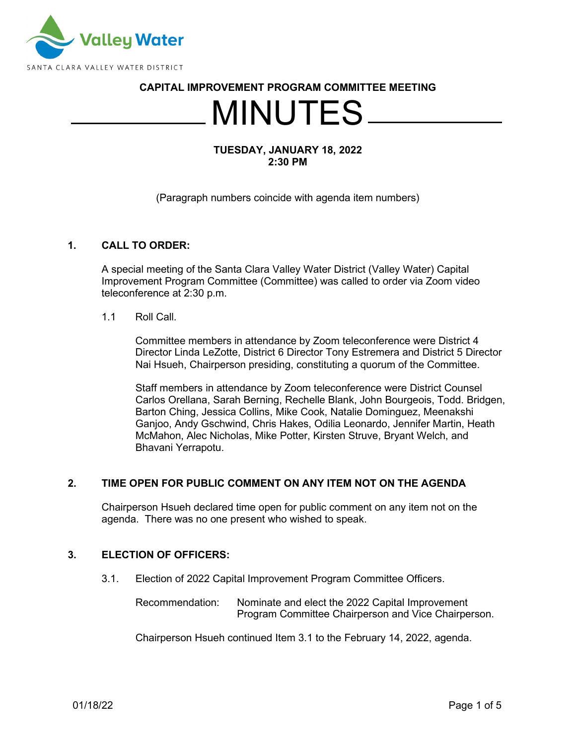

## **CAPITAL IMPROVEMENT PROGRAM COMMITTEE MEETING**

# MINUTES

## **TUESDAY, JANUARY 18, 2022 2:30 PM**

(Paragraph numbers coincide with agenda item numbers)

## **1. CALL TO ORDER:**

A special meeting of the Santa Clara Valley Water District (Valley Water) Capital Improvement Program Committee (Committee) was called to order via Zoom video teleconference at 2:30 p.m.

1.1 Roll Call.

Committee members in attendance by Zoom teleconference were District 4 Director Linda LeZotte, District 6 Director Tony Estremera and District 5 Director Nai Hsueh, Chairperson presiding, constituting a quorum of the Committee.

Staff members in attendance by Zoom teleconference were District Counsel Carlos Orellana, Sarah Berning, Rechelle Blank, John Bourgeois, Todd. Bridgen, Barton Ching, Jessica Collins, Mike Cook, Natalie Dominguez, Meenakshi Ganjoo, Andy Gschwind, Chris Hakes, Odilia Leonardo, Jennifer Martin, Heath McMahon, Alec Nicholas, Mike Potter, Kirsten Struve, Bryant Welch, and Bhavani Yerrapotu.

## **2. TIME OPEN FOR PUBLIC COMMENT ON ANY ITEM NOT ON THE AGENDA**

Chairperson Hsueh declared time open for public comment on any item not on the agenda. There was no one present who wished to speak.

#### **3. ELECTION OF OFFICERS:**

3.1. Election of 2022 Capital Improvement Program Committee Officers.

Recommendation: Nominate and elect the 2022 Capital Improvement Program Committee Chairperson and Vice Chairperson.

Chairperson Hsueh continued Item 3.1 to the February 14, 2022, agenda.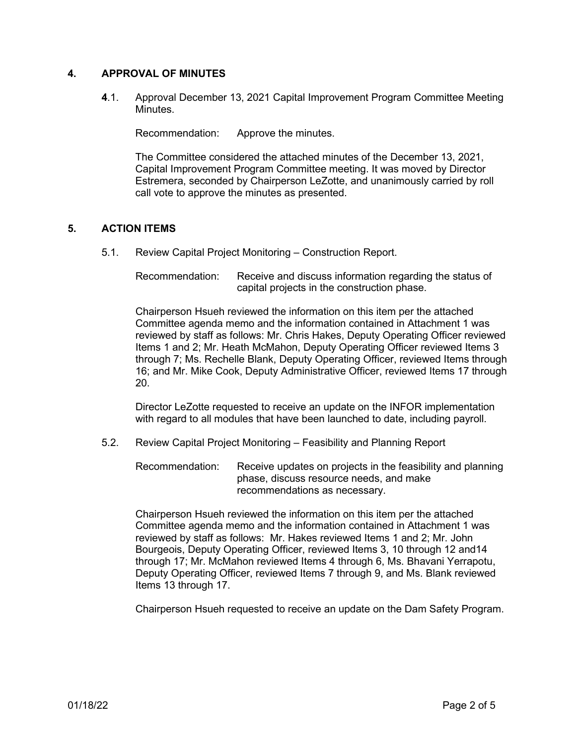## **4. APPROVAL OF MINUTES**

**4**.1. Approval December 13, 2021 Capital Improvement Program Committee Meeting Minutes.

Recommendation: Approve the minutes.

The Committee considered the attached minutes of the December 13, 2021, Capital Improvement Program Committee meeting. It was moved by Director Estremera, seconded by Chairperson LeZotte, and unanimously carried by roll call vote to approve the minutes as presented.

## **5. ACTION ITEMS**

5.1. Review Capital Project Monitoring – Construction Report.

Recommendation: Receive and discuss information regarding the status of capital projects in the construction phase.

Chairperson Hsueh reviewed the information on this item per the attached Committee agenda memo and the information contained in Attachment 1 was reviewed by staff as follows: Mr. Chris Hakes, Deputy Operating Officer reviewed Items 1 and 2; Mr. Heath McMahon, Deputy Operating Officer reviewed Items 3 through 7; Ms. Rechelle Blank, Deputy Operating Officer, reviewed Items through 16; and Mr. Mike Cook, Deputy Administrative Officer, reviewed Items 17 through 20.

Director LeZotte requested to receive an update on the INFOR implementation with regard to all modules that have been launched to date, including payroll.

5.2. Review Capital Project Monitoring – Feasibility and Planning Report

Recommendation: Receive updates on projects in the feasibility and planning phase, discuss resource needs, and make recommendations as necessary.

Chairperson Hsueh reviewed the information on this item per the attached Committee agenda memo and the information contained in Attachment 1 was reviewed by staff as follows: Mr. Hakes reviewed Items 1 and 2; Mr. John Bourgeois, Deputy Operating Officer, reviewed Items 3, 10 through 12 and14 through 17; Mr. McMahon reviewed Items 4 through 6, Ms. Bhavani Yerrapotu, Deputy Operating Officer, reviewed Items 7 through 9, and Ms. Blank reviewed Items 13 through 17.

Chairperson Hsueh requested to receive an update on the Dam Safety Program.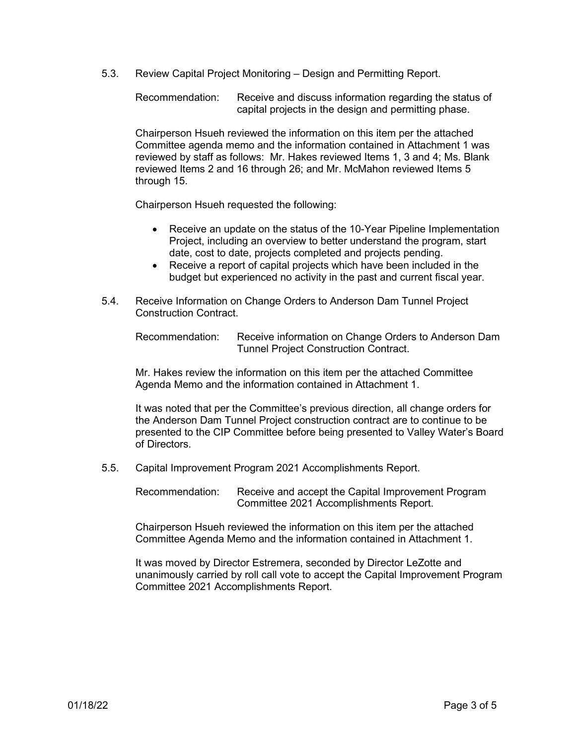5.3. Review Capital Project Monitoring – Design and Permitting Report.

Recommendation: Receive and discuss information regarding the status of capital projects in the design and permitting phase.

Chairperson Hsueh reviewed the information on this item per the attached Committee agenda memo and the information contained in Attachment 1 was reviewed by staff as follows: Mr. Hakes reviewed Items 1, 3 and 4; Ms. Blank reviewed Items 2 and 16 through 26; and Mr. McMahon reviewed Items 5 through 15.

Chairperson Hsueh requested the following:

- Receive an update on the status of the 10-Year Pipeline Implementation Project, including an overview to better understand the program, start date, cost to date, projects completed and projects pending.
- Receive a report of capital projects which have been included in the budget but experienced no activity in the past and current fiscal year.
- 5.4. Receive Information on Change Orders to Anderson Dam Tunnel Project Construction Contract.

Recommendation: Receive information on Change Orders to Anderson Dam Tunnel Project Construction Contract.

Mr. Hakes review the information on this item per the attached Committee Agenda Memo and the information contained in Attachment 1.

It was noted that per the Committee's previous direction, all change orders for the Anderson Dam Tunnel Project construction contract are to continue to be presented to the CIP Committee before being presented to Valley Water's Board of Directors.

5.5. Capital Improvement Program 2021 Accomplishments Report.

Recommendation: Receive and accept the Capital Improvement Program Committee 2021 Accomplishments Report.

Chairperson Hsueh reviewed the information on this item per the attached Committee Agenda Memo and the information contained in Attachment 1.

It was moved by Director Estremera, seconded by Director LeZotte and unanimously carried by roll call vote to accept the Capital Improvement Program Committee 2021 Accomplishments Report.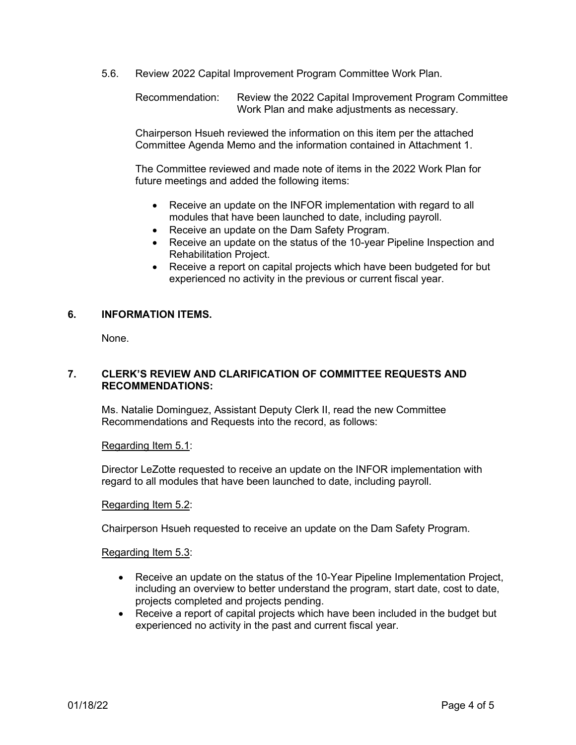5.6. Review 2022 Capital Improvement Program Committee Work Plan.

Recommendation: Review the 2022 Capital Improvement Program Committee Work Plan and make adjustments as necessary.

Chairperson Hsueh reviewed the information on this item per the attached Committee Agenda Memo and the information contained in Attachment 1.

The Committee reviewed and made note of items in the 2022 Work Plan for future meetings and added the following items:

- Receive an update on the INFOR implementation with regard to all modules that have been launched to date, including payroll.
- Receive an update on the Dam Safety Program.
- Receive an update on the status of the 10-year Pipeline Inspection and Rehabilitation Project.
- Receive a report on capital projects which have been budgeted for but experienced no activity in the previous or current fiscal year.

## **6. INFORMATION ITEMS.**

None.

## **7. CLERK'S REVIEW AND CLARIFICATION OF COMMITTEE REQUESTS AND RECOMMENDATIONS:**

Ms. Natalie Dominguez, Assistant Deputy Clerk II, read the new Committee Recommendations and Requests into the record, as follows:

#### Regarding Item 5.1:

Director LeZotte requested to receive an update on the INFOR implementation with regard to all modules that have been launched to date, including payroll.

#### Regarding Item 5.2:

Chairperson Hsueh requested to receive an update on the Dam Safety Program.

#### Regarding Item 5.3:

- Receive an update on the status of the 10-Year Pipeline Implementation Project, including an overview to better understand the program, start date, cost to date, projects completed and projects pending.
- Receive a report of capital projects which have been included in the budget but experienced no activity in the past and current fiscal year.